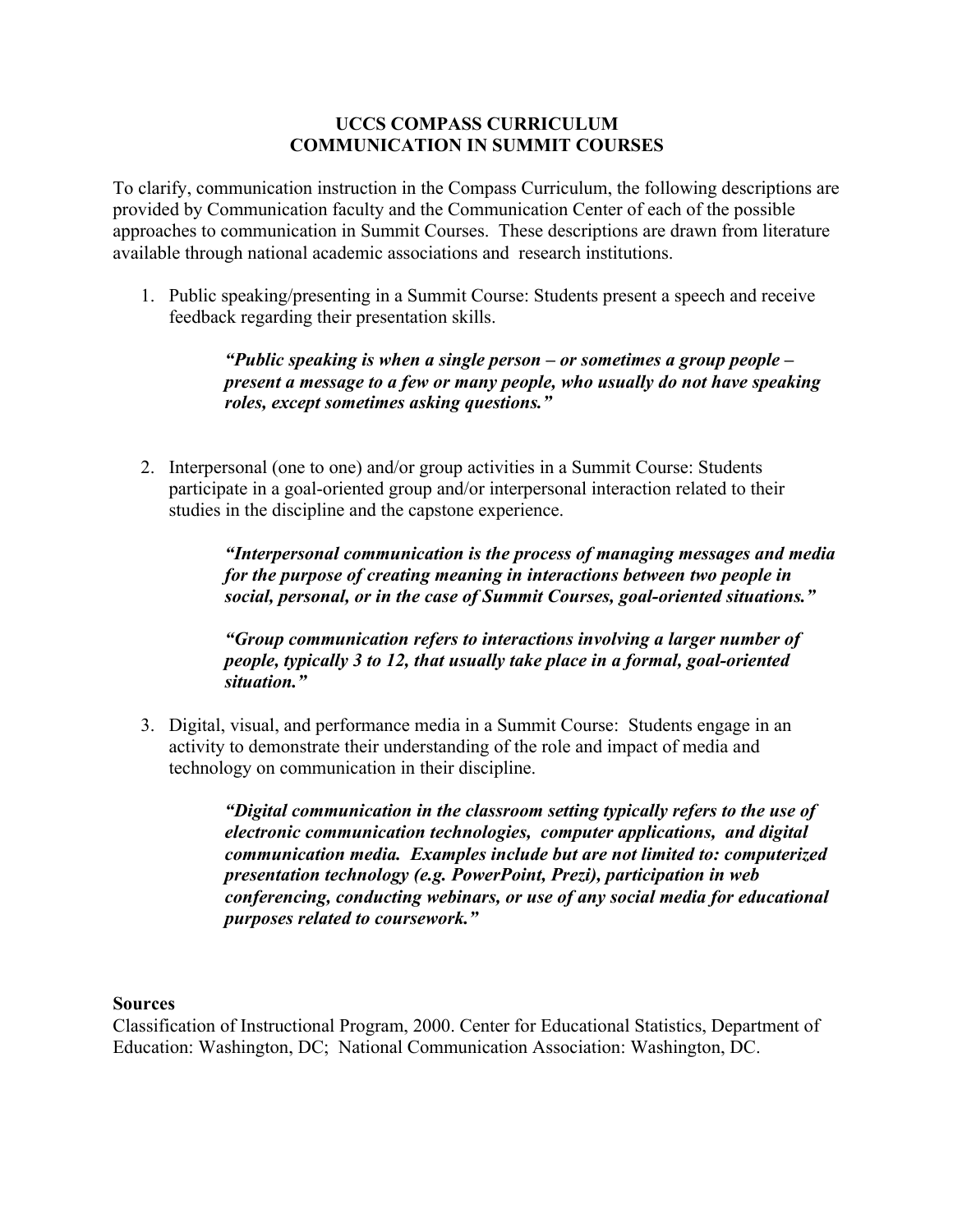## **UCCS COMPASS CURRICULUM COMMUNICATION IN SUMMIT COURSES**

To clarify, communication instruction in the Compass Curriculum, the following descriptions are provided by Communication faculty and the Communication Center of each of the possible approaches to communication in Summit Courses. These descriptions are drawn from literature available through national academic associations and research institutions.

1. Public speaking/presenting in a Summit Course: Students present a speech and receive feedback regarding their presentation skills.

> *"Public speaking is when a single person – or sometimes a group people – present a message to a few or many people, who usually do not have speaking roles, except sometimes asking questions."*

2. Interpersonal (one to one) and/or group activities in a Summit Course: Students participate in a goal-oriented group and/or interpersonal interaction related to their studies in the discipline and the capstone experience.

> *"Interpersonal communication is the process of managing messages and media for the purpose of creating meaning in interactions between two people in social, personal, or in the case of Summit Courses, goal-oriented situations."*

*"Group communication refers to interactions involving a larger number of people, typically 3 to 12, that usually take place in a formal, goal-oriented situation."* 

3. Digital, visual, and performance media in a Summit Course: Students engage in an activity to demonstrate their understanding of the role and impact of media and technology on communication in their discipline.

> *"Digital communication in the classroom setting typically refers to the use of electronic communication technologies, computer applications, and digital communication media. Examples include but are not limited to: computerized presentation technology (e.g. PowerPoint, Prezi), participation in web conferencing, conducting webinars, or use of any social media for educational purposes related to coursework."*

## **Sources**

Classification of Instructional Program, 2000. Center for Educational Statistics, Department of Education: Washington, DC; National Communication Association: Washington, DC.